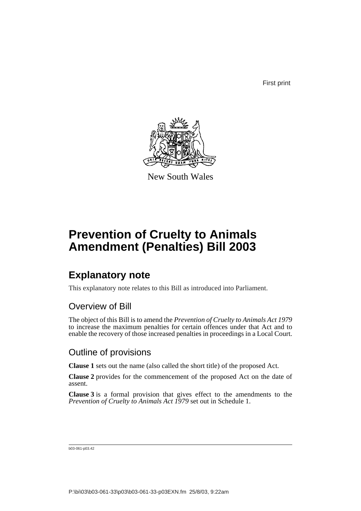First print



New South Wales

# **Prevention of Cruelty to Animals Amendment (Penalties) Bill 2003**

## **Explanatory note**

This explanatory note relates to this Bill as introduced into Parliament.

### Overview of Bill

The object of this Bill is to amend the *Prevention of Cruelty to Animals Act 1979* to increase the maximum penalties for certain offences under that Act and to enable the recovery of those increased penalties in proceedings in a Local Court.

### Outline of provisions

**Clause 1** sets out the name (also called the short title) of the proposed Act.

**Clause 2** provides for the commencement of the proposed Act on the date of assent.

**Clause 3** is a formal provision that gives effect to the amendments to the *Prevention of Cruelty to Animals Act 1979* set out in Schedule 1.

b03-061-p03.42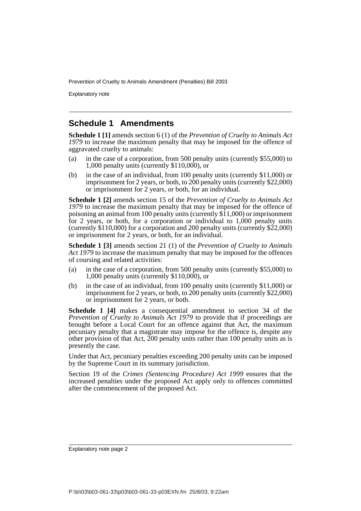Prevention of Cruelty to Animals Amendment (Penalties) Bill 2003

Explanatory note

### **Schedule 1 Amendments**

**Schedule 1 [1]** amends section 6 (1) of the *Prevention of Cruelty to Animals Act 1979* to increase the maximum penalty that may be imposed for the offence of aggravated cruelty to animals:

- (a) in the case of a corporation, from 500 penalty units (currently \$55,000) to 1,000 penalty units (currently \$110,000), or
- (b) in the case of an individual, from 100 penalty units (currently \$11,000) or imprisonment for 2 years, or both, to 200 penalty units (currently \$22,000) or imprisonment for 2 years, or both, for an individual.

**Schedule 1 [2]** amends section 15 of the *Prevention of Cruelty to Animals Act 1979* to increase the maximum penalty that may be imposed for the offence of poisoning an animal from 100 penalty units (currently \$11,000) or imprisonment for 2 years, or both, for a corporation or individual to 1,000 penalty units (currently \$110,000) for a corporation and 200 penalty units (currently \$22,000) or imprisonment for 2 years, or both, for an individual.

**Schedule 1 [3]** amends section 21 (1) of the *Prevention of Cruelty to Animals Act 1979* to increase the maximum penalty that may be imposed for the offences of coursing and related activities:

- (a) in the case of a corporation, from 500 penalty units (currently \$55,000) to 1,000 penalty units (currently \$110,000), or
- (b) in the case of an individual, from 100 penalty units (currently \$11,000) or imprisonment for 2 years, or both, to 200 penalty units (currently \$22,000) or imprisonment for 2 years, or both.

**Schedule 1 [4]** makes a consequential amendment to section 34 of the *Prevention of Cruelty to Animals Act 1979* to provide that if proceedings are brought before a Local Court for an offence against that Act, the maximum pecuniary penalty that a magistrate may impose for the offence is, despite any other provision of that Act, 200 penalty units rather than 100 penalty units as is presently the case.

Under that Act, pecuniary penalties exceeding 200 penalty units can be imposed by the Supreme Court in its summary jurisdiction.

Section 19 of the *Crimes (Sentencing Procedure) Act 1999* ensures that the increased penalties under the proposed Act apply only to offences committed after the commencement of the proposed Act.

Explanatory note page 2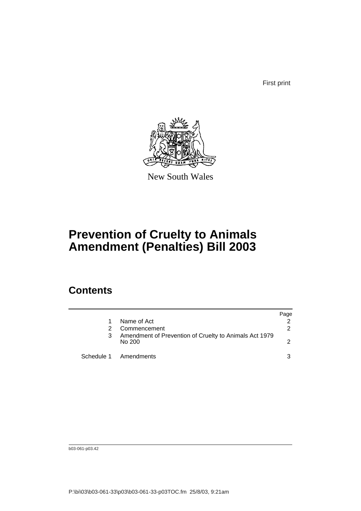First print



New South Wales

## **Prevention of Cruelty to Animals Amendment (Penalties) Bill 2003**

## **Contents**

|                                                                  | Page |
|------------------------------------------------------------------|------|
| Name of Act                                                      |      |
| Commencement                                                     | 2    |
| Amendment of Prevention of Cruelty to Animals Act 1979<br>No 200 |      |
| Schedule 1 Amendments                                            |      |

b03-061-p03.42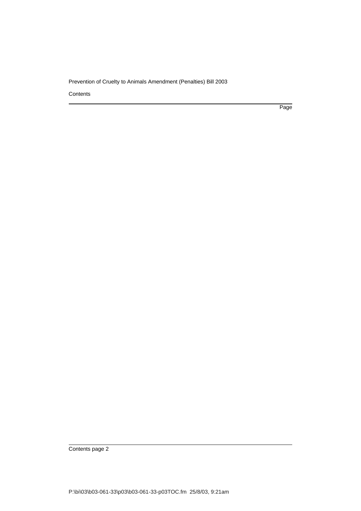#### Prevention of Cruelty to Animals Amendment (Penalties) Bill 2003

**Contents** 

Page

Contents page 2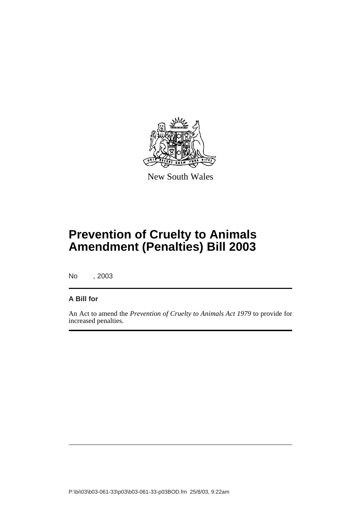

New South Wales

# **Prevention of Cruelty to Animals Amendment (Penalties) Bill 2003**

No , 2003

#### **A Bill for**

An Act to amend the *Prevention of Cruelty to Animals Act 1979* to provide for increased penalties.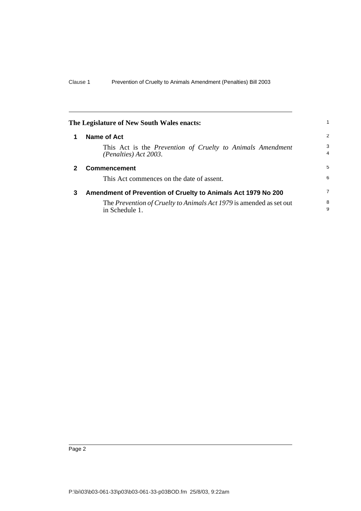<span id="page-5-2"></span><span id="page-5-1"></span><span id="page-5-0"></span>

| The Legislature of New South Wales enacts: |                                                                                            | 1.             |
|--------------------------------------------|--------------------------------------------------------------------------------------------|----------------|
| 1                                          | Name of Act                                                                                | 2              |
|                                            | This Act is the <i>Prevention of Cruelty to Animals Amendment</i><br>(Penalties) Act 2003. | 3<br>4         |
|                                            | <b>Commencement</b>                                                                        | 5              |
|                                            | This Act commences on the date of assent.                                                  | 6              |
| 3                                          | Amendment of Prevention of Cruelty to Animals Act 1979 No 200                              | $\overline{7}$ |
|                                            | The Prevention of Cruelty to Animals Act 1979 is amended as set out<br>in Schedule 1.      | 8<br>9         |